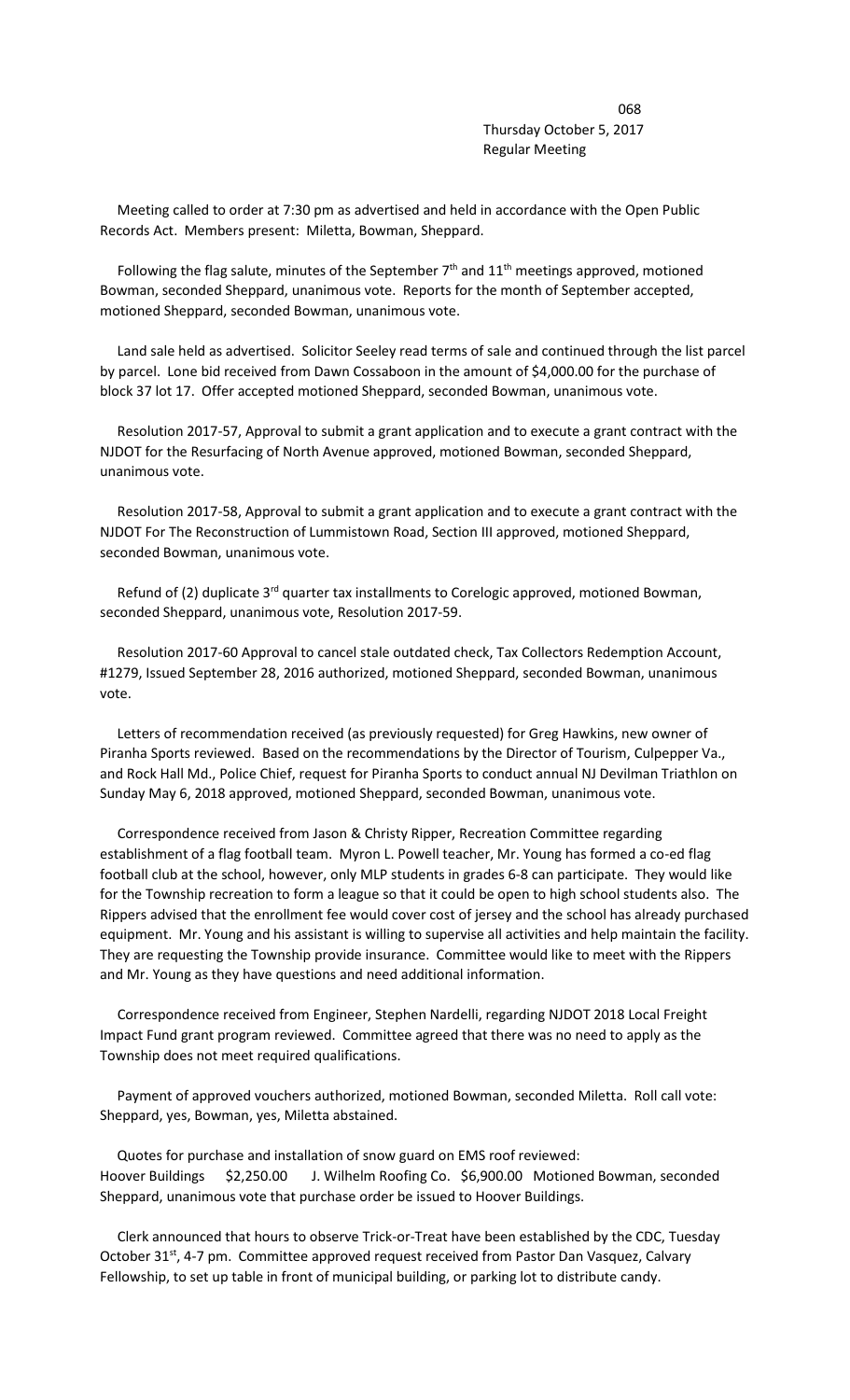<u>068</u> Thursday October 5, 2017 Regular Meeting

 Meeting called to order at 7:30 pm as advertised and held in accordance with the Open Public Records Act. Members present: Miletta, Bowman, Sheppard.

Following the flag salute, minutes of the September  $7<sup>th</sup>$  and  $11<sup>th</sup>$  meetings approved, motioned Bowman, seconded Sheppard, unanimous vote. Reports for the month of September accepted, motioned Sheppard, seconded Bowman, unanimous vote.

 Land sale held as advertised. Solicitor Seeley read terms of sale and continued through the list parcel by parcel. Lone bid received from Dawn Cossaboon in the amount of \$4,000.00 for the purchase of block 37 lot 17. Offer accepted motioned Sheppard, seconded Bowman, unanimous vote.

 Resolution 2017-57, Approval to submit a grant application and to execute a grant contract with the NJDOT for the Resurfacing of North Avenue approved, motioned Bowman, seconded Sheppard, unanimous vote.

 Resolution 2017-58, Approval to submit a grant application and to execute a grant contract with the NJDOT For The Reconstruction of Lummistown Road, Section III approved, motioned Sheppard, seconded Bowman, unanimous vote.

Refund of (2) duplicate 3<sup>rd</sup> quarter tax installments to Corelogic approved, motioned Bowman, seconded Sheppard, unanimous vote, Resolution 2017-59.

 Resolution 2017-60 Approval to cancel stale outdated check, Tax Collectors Redemption Account, #1279, Issued September 28, 2016 authorized, motioned Sheppard, seconded Bowman, unanimous vote.

 Letters of recommendation received (as previously requested) for Greg Hawkins, new owner of Piranha Sports reviewed. Based on the recommendations by the Director of Tourism, Culpepper Va., and Rock Hall Md., Police Chief, request for Piranha Sports to conduct annual NJ Devilman Triathlon on Sunday May 6, 2018 approved, motioned Sheppard, seconded Bowman, unanimous vote.

 Correspondence received from Jason & Christy Ripper, Recreation Committee regarding establishment of a flag football team. Myron L. Powell teacher, Mr. Young has formed a co-ed flag football club at the school, however, only MLP students in grades 6-8 can participate. They would like for the Township recreation to form a league so that it could be open to high school students also. The Rippers advised that the enrollment fee would cover cost of jersey and the school has already purchased equipment. Mr. Young and his assistant is willing to supervise all activities and help maintain the facility. They are requesting the Township provide insurance. Committee would like to meet with the Rippers and Mr. Young as they have questions and need additional information.

 Correspondence received from Engineer, Stephen Nardelli, regarding NJDOT 2018 Local Freight Impact Fund grant program reviewed. Committee agreed that there was no need to apply as the Township does not meet required qualifications.

 Payment of approved vouchers authorized, motioned Bowman, seconded Miletta. Roll call vote: Sheppard, yes, Bowman, yes, Miletta abstained.

 Quotes for purchase and installation of snow guard on EMS roof reviewed: Hoover Buildings \$2,250.00 J. Wilhelm Roofing Co. \$6,900.00 Motioned Bowman, seconded Sheppard, unanimous vote that purchase order be issued to Hoover Buildings.

 Clerk announced that hours to observe Trick-or-Treat have been established by the CDC, Tuesday October 31<sup>st</sup>, 4-7 pm. Committee approved request received from Pastor Dan Vasquez, Calvary Fellowship, to set up table in front of municipal building, or parking lot to distribute candy.